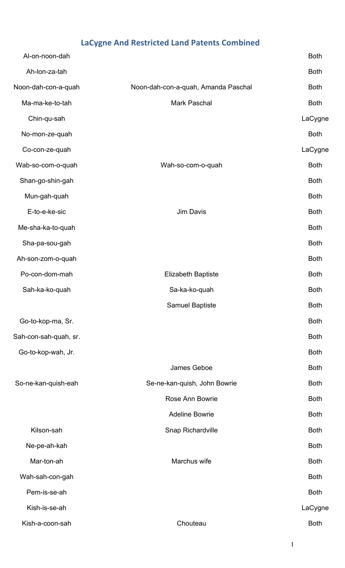## **LaCygne And Restricted Land Patents Combined**

| Al-on-noon-dah        |                                     | <b>Both</b> |
|-----------------------|-------------------------------------|-------------|
| Ah-Ion-za-tah         |                                     | <b>Both</b> |
| Noon-dah-con-a-quah   | Noon-dah-con-a-quah, Amanda Paschal | <b>Both</b> |
| Ma-ma-ke-to-tah       | Mark Paschal                        | <b>Both</b> |
| Chin-qu-sah           |                                     | LaCygne     |
| No-mon-ze-quah        |                                     | <b>Both</b> |
| Co-con-ze-quah        |                                     | LaCygne     |
| Wab-so-com-o-quah     | Wah-so-com-o-quah                   | <b>Both</b> |
| Shan-go-shin-gah      |                                     | <b>Both</b> |
| Mun-gah-quah          |                                     | <b>Both</b> |
| E-to-e-ke-sic         | <b>Jim Davis</b>                    | <b>Both</b> |
| Me-sha-ka-to-quah     |                                     | <b>Both</b> |
| Sha-pa-sou-gah        |                                     | <b>Both</b> |
| Ah-son-zom-o-quah     |                                     | <b>Both</b> |
| Po-con-dom-mah        | <b>Elizabeth Baptiste</b>           | <b>Both</b> |
| Sah-ka-ko-quah        | Sa-ka-ko-quah                       | <b>Both</b> |
|                       | Samuel Baptiste                     | <b>Both</b> |
| Go-to-kop-ma, Sr.     |                                     | <b>Both</b> |
| Sah-con-sah-quah, sr. |                                     | <b>Both</b> |
| Go-to-kop-wah, Jr.    |                                     | <b>Both</b> |
|                       | James Geboe                         | <b>Both</b> |
| So-ne-kan-quish-eah   | Se-ne-kan-quish, John Bowrie        | <b>Both</b> |
|                       | <b>Rose Ann Bowrie</b>              | <b>Both</b> |
|                       | <b>Adeline Bowrie</b>               | <b>Both</b> |
| Kilson-sah            | Snap Richardville                   | <b>Both</b> |
| Ne-pe-ah-kah          |                                     | <b>Both</b> |
| Mar-ton-ah            | Marchus wife                        | <b>Both</b> |
| Wah-sah-con-gah       |                                     | <b>Both</b> |
| Pem-is-se-ah          |                                     | <b>Both</b> |
| Kish-is-se-ah         |                                     | LaCygne     |
| Kish-a-coon-sah       | Chouteau                            | <b>Both</b> |
|                       |                                     |             |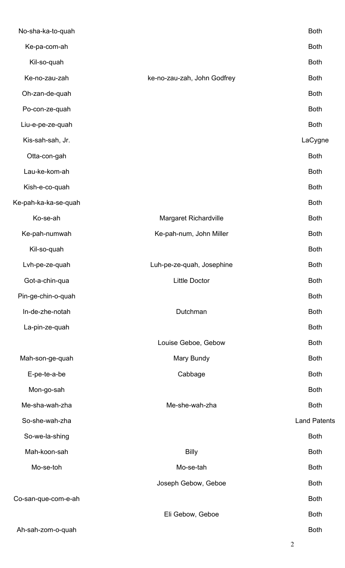| No-sha-ka-to-quah    |                              | <b>Both</b>         |
|----------------------|------------------------------|---------------------|
| Ke-pa-com-ah         |                              | <b>Both</b>         |
| Kil-so-quah          |                              | <b>Both</b>         |
| Ke-no-zau-zah        | ke-no-zau-zah, John Godfrey  | <b>Both</b>         |
| Oh-zan-de-quah       |                              | <b>Both</b>         |
| Po-con-ze-quah       |                              | <b>Both</b>         |
| Liu-e-pe-ze-quah     |                              | <b>Both</b>         |
| Kis-sah-sah, Jr.     |                              | LaCygne             |
| Otta-con-gah         |                              | <b>Both</b>         |
| Lau-ke-kom-ah        |                              | <b>Both</b>         |
| Kish-e-co-quah       |                              | <b>Both</b>         |
| Ke-pah-ka-ka-se-quah |                              | <b>Both</b>         |
| Ko-se-ah             | <b>Margaret Richardville</b> | <b>Both</b>         |
| Ke-pah-numwah        | Ke-pah-num, John Miller      | <b>Both</b>         |
| Kil-so-quah          |                              | <b>Both</b>         |
| Lvh-pe-ze-quah       | Luh-pe-ze-quah, Josephine    | <b>Both</b>         |
| Got-a-chin-qua       | <b>Little Doctor</b>         | <b>Both</b>         |
| Pin-ge-chin-o-quah   |                              | <b>Both</b>         |
| In-de-zhe-notah      | Dutchman                     | <b>Both</b>         |
| La-pin-ze-quah       |                              | <b>Both</b>         |
|                      | Louise Geboe, Gebow          | <b>Both</b>         |
| Mah-son-ge-quah      | Mary Bundy                   | <b>Both</b>         |
| E-pe-te-a-be         | Cabbage                      | <b>Both</b>         |
| Mon-go-sah           |                              | <b>Both</b>         |
| Me-sha-wah-zha       | Me-she-wah-zha               | <b>Both</b>         |
| So-she-wah-zha       |                              | <b>Land Patents</b> |
| So-we-la-shing       |                              | <b>Both</b>         |
| Mah-koon-sah         | <b>Billy</b>                 | <b>Both</b>         |
| Mo-se-toh            | Mo-se-tah                    | <b>Both</b>         |
|                      | Joseph Gebow, Geboe          | <b>Both</b>         |
| Co-san-que-com-e-ah  |                              | <b>Both</b>         |
|                      | Eli Gebow, Geboe             | <b>Both</b>         |
| Ah-sah-zom-o-quah    |                              | <b>Both</b>         |

2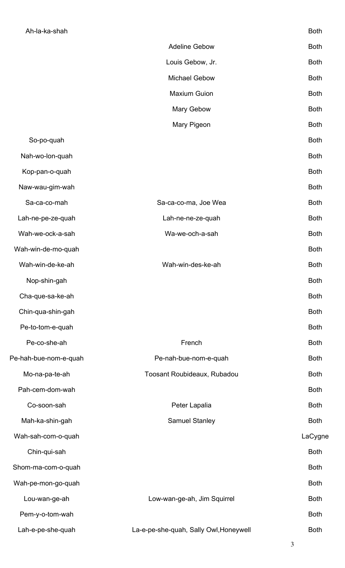| .                | -----       |
|------------------|-------------|
|                  |             |
| Louis Gebow, Jr. | <b>Both</b> |

Adeline Gebow Both

Michael Gebow Both

Maxium Guion **Both** 

Mary Gebow Both

- Mary Pigeon **Both**
- So-po-quah Both Nah-wo-lon-quah Both

Kop-pan-o-quah Both

Naw-wau-gim-wah Both

Sa-ca-co-mah Both Sa-ca-co-ma, Joe Wea Both Both

Lah-ne-pe-ze-quah Lah-ne-ne-ze-quah Both

Wah-we-ock-a-sah Both

Wah-win-de-mo-quah Both

Wah-win-de-ke-ah Wah-win-des-ke-ah Both

Nop-shin-gah Both Both and the state of the state of the state of the state of the state of the state of the state of the state of the state of the state of the state of the state of the state of the state of the state of

Cha-que-sa-ke-ah Both

Chin-qua-shin-gah Both

Pe-to-tom-e-quah Both

Pah-cem-dom-wah Both

Mah-ka-shin-gah Both Samuel Stanley Both Both

Wah-sah-com-o-quah LaCygne

Pe-co-she-ah French Both Pe-hah-bue-nom-e-quah **Pe-nah-bue-nom-e-quah** Both

Mo-na-pa-te-ah Toosant Roubideaux, Rubadou Both

Co-soon-sah Both Peter Lapalia Both Both

Chin-qui-sah Both Shom-ma-com-o-quah Both Wah-pe-mon-go-quah Both Lou-wan-ge-ah **Low-wan-ge-ah, Jim Squirrel** Both Pem-y-o-tom-wah Both

## Lah-e-pe-she-quah La-e-pe-she-quah, Sally Owl, Honeywell Both

3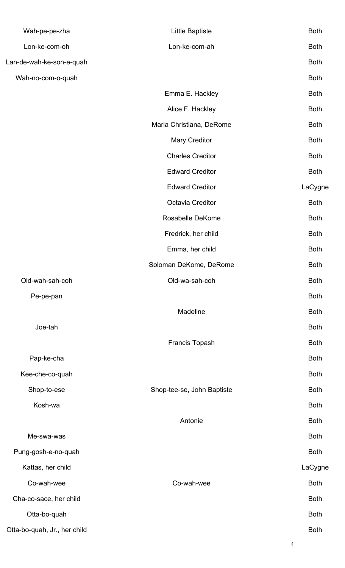| Wah-pe-pe-zha                | Little Baptiste            | <b>Both</b>    |
|------------------------------|----------------------------|----------------|
| Lon-ke-com-oh                | Lon-ke-com-ah              | <b>Both</b>    |
| Lan-de-wah-ke-son-e-quah     |                            | <b>Both</b>    |
| Wah-no-com-o-quah            |                            | <b>Both</b>    |
|                              | Emma E. Hackley            | <b>Both</b>    |
|                              | Alice F. Hackley           | <b>Both</b>    |
|                              | Maria Christiana, DeRome   | <b>Both</b>    |
|                              | Mary Creditor              | <b>Both</b>    |
|                              | <b>Charles Creditor</b>    | <b>Both</b>    |
|                              | <b>Edward Creditor</b>     | <b>Both</b>    |
|                              | <b>Edward Creditor</b>     | LaCygne        |
|                              | Octavia Creditor           | <b>Both</b>    |
|                              | Rosabelle DeKome           | <b>Both</b>    |
|                              | Fredrick, her child        | <b>Both</b>    |
|                              | Emma, her child            | <b>Both</b>    |
|                              | Soloman DeKome, DeRome     | <b>Both</b>    |
| Old-wah-sah-coh              | Old-wa-sah-coh             | <b>Both</b>    |
| Pe-pe-pan                    |                            | <b>Both</b>    |
|                              | Madeline                   | <b>Both</b>    |
| Joe-tah                      |                            | <b>Both</b>    |
|                              | Francis Topash             | <b>Both</b>    |
| Pap-ke-cha                   |                            | <b>Both</b>    |
| Kee-che-co-quah              |                            | <b>Both</b>    |
| Shop-to-ese                  | Shop-tee-se, John Baptiste | <b>Both</b>    |
| Kosh-wa                      |                            | <b>Both</b>    |
|                              | Antonie                    | <b>Both</b>    |
| Me-swa-was                   |                            | <b>Both</b>    |
| Pung-gosh-e-no-quah          |                            | <b>Both</b>    |
| Kattas, her child            |                            | LaCygne        |
| Co-wah-wee                   | Co-wah-wee                 | <b>Both</b>    |
| Cha-co-sace, her child       |                            | <b>Both</b>    |
| Otta-bo-quah                 |                            | <b>Both</b>    |
| Otta-bo-quah, Jr., her child |                            | <b>Both</b>    |
|                              |                            | $\overline{4}$ |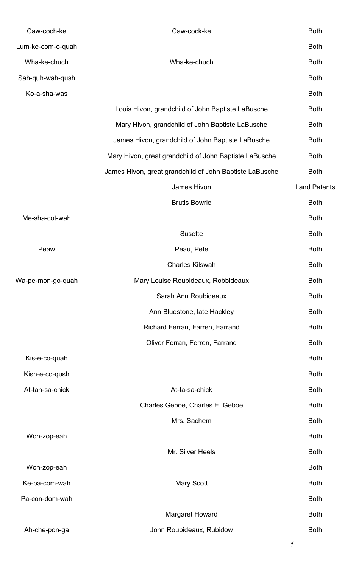| Caw-coch-ke       | Caw-cock-ke                                             | <b>Both</b>         |
|-------------------|---------------------------------------------------------|---------------------|
| Lum-ke-com-o-quah |                                                         | <b>Both</b>         |
| Wha-ke-chuch      | Wha-ke-chuch                                            | <b>Both</b>         |
| Sah-quh-wah-qush  |                                                         | <b>Both</b>         |
| Ko-a-sha-was      |                                                         | <b>Both</b>         |
|                   | Louis Hivon, grandchild of John Baptiste LaBusche       | <b>Both</b>         |
|                   | Mary Hivon, grandchild of John Baptiste LaBusche        | <b>Both</b>         |
|                   | James Hivon, grandchild of John Baptiste LaBusche       | <b>Both</b>         |
|                   | Mary Hivon, great grandchild of John Baptiste LaBusche  | <b>Both</b>         |
|                   | James Hivon, great grandchild of John Baptiste LaBusche | <b>Both</b>         |
|                   | James Hivon                                             | <b>Land Patents</b> |
|                   | <b>Brutis Bowrie</b>                                    | <b>Both</b>         |
| Me-sha-cot-wah    |                                                         | <b>Both</b>         |
|                   | <b>Susette</b>                                          | <b>Both</b>         |
| Peaw              | Peau, Pete                                              | <b>Both</b>         |
|                   | <b>Charles Kilswah</b>                                  | <b>Both</b>         |
| Wa-pe-mon-go-quah | Mary Louise Roubideaux, Robbideaux                      | <b>Both</b>         |
|                   | Sarah Ann Roubideaux                                    | <b>Both</b>         |
|                   | Ann Bluestone, late Hackley                             | <b>Both</b>         |
|                   | Richard Ferran, Farren, Farrand                         | <b>Both</b>         |
|                   | Oliver Ferran, Ferren, Farrand                          | <b>Both</b>         |
| Kis-e-co-quah     |                                                         | <b>Both</b>         |
| Kish-e-co-qush    |                                                         | <b>Both</b>         |
| At-tah-sa-chick   | At-ta-sa-chick                                          | <b>Both</b>         |
|                   | Charles Geboe, Charles E. Geboe                         | <b>Both</b>         |
|                   | Mrs. Sachem                                             | <b>Both</b>         |
| Won-zop-eah       |                                                         | <b>Both</b>         |
|                   | Mr. Silver Heels                                        | <b>Both</b>         |
| Won-zop-eah       |                                                         | <b>Both</b>         |
| Ke-pa-com-wah     | Mary Scott                                              | <b>Both</b>         |
| Pa-con-dom-wah    |                                                         | <b>Both</b>         |
|                   | Margaret Howard                                         | <b>Both</b>         |
| Ah-che-pon-ga     | John Roubideaux, Rubidow                                | <b>Both</b>         |
|                   |                                                         |                     |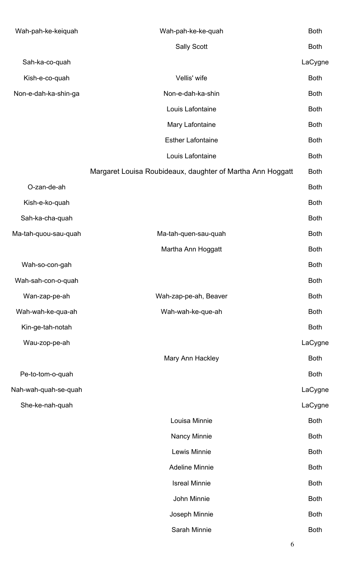| Wah-pah-ke-keiquah   | Wah-pah-ke-ke-quah                                         | <b>Both</b> |
|----------------------|------------------------------------------------------------|-------------|
|                      | <b>Sally Scott</b>                                         | <b>Both</b> |
| Sah-ka-co-quah       |                                                            | LaCygne     |
| Kish-e-co-quah       | Vellis' wife                                               | <b>Both</b> |
| Non-e-dah-ka-shin-ga | Non-e-dah-ka-shin                                          | <b>Both</b> |
|                      | Louis Lafontaine                                           | <b>Both</b> |
|                      | Mary Lafontaine                                            | <b>Both</b> |
|                      | <b>Esther Lafontaine</b>                                   | <b>Both</b> |
|                      | Louis Lafontaine                                           | <b>Both</b> |
|                      | Margaret Louisa Roubideaux, daughter of Martha Ann Hoggatt | <b>Both</b> |
| O-zan-de-ah          |                                                            | <b>Both</b> |
| Kish-e-ko-quah       |                                                            | <b>Both</b> |
| Sah-ka-cha-quah      |                                                            | <b>Both</b> |
| Ma-tah-quou-sau-quah | Ma-tah-quen-sau-quah                                       | <b>Both</b> |
|                      | Martha Ann Hoggatt                                         | <b>Both</b> |
| Wah-so-con-gah       |                                                            | <b>Both</b> |
| Wah-sah-con-o-quah   |                                                            | <b>Both</b> |
| Wan-zap-pe-ah        | Wah-zap-pe-ah, Beaver                                      | <b>Both</b> |
| Wah-wah-ke-qua-ah    | Wah-wah-ke-que-ah                                          | <b>Both</b> |
| Kin-ge-tah-notah     |                                                            | <b>Both</b> |
| Wau-zop-pe-ah        |                                                            | LaCygne     |
|                      | Mary Ann Hackley                                           | <b>Both</b> |
| Pe-to-tom-o-quah     |                                                            | <b>Both</b> |
| Nah-wah-quah-se-quah |                                                            | LaCygne     |
| She-ke-nah-quah      |                                                            | LaCygne     |
|                      | Louisa Minnie                                              | <b>Both</b> |
|                      | Nancy Minnie                                               | <b>Both</b> |
|                      | Lewis Minnie                                               | <b>Both</b> |
|                      | <b>Adeline Minnie</b>                                      | <b>Both</b> |
|                      | <b>Isreal Minnie</b>                                       | <b>Both</b> |
|                      | John Minnie                                                | <b>Both</b> |
|                      | Joseph Minnie                                              | <b>Both</b> |
|                      | Sarah Minnie                                               | <b>Both</b> |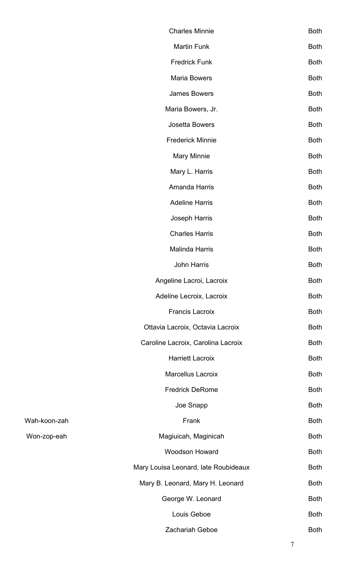|              | <b>Charles Minnie</b>                | <b>Both</b> |
|--------------|--------------------------------------|-------------|
|              | Martin Funk                          | <b>Both</b> |
|              | <b>Fredrick Funk</b>                 | <b>Both</b> |
|              | <b>Maria Bowers</b>                  | <b>Both</b> |
|              | <b>James Bowers</b>                  | <b>Both</b> |
|              | Maria Bowers, Jr.                    | <b>Both</b> |
|              | Josetta Bowers                       | <b>Both</b> |
|              | <b>Frederick Minnie</b>              | <b>Both</b> |
|              | <b>Mary Minnie</b>                   | <b>Both</b> |
|              | Mary L. Harris                       | <b>Both</b> |
|              | Amanda Harris                        | <b>Both</b> |
|              | <b>Adeline Harris</b>                | <b>Both</b> |
|              | Joseph Harris                        | <b>Both</b> |
|              | <b>Charles Harris</b>                | <b>Both</b> |
|              | Malinda Harris                       | <b>Both</b> |
|              | John Harris                          | <b>Both</b> |
|              | Angeline Lacroi, Lacroix             | <b>Both</b> |
|              | Adeline Lecroix, Lacroix             | <b>Both</b> |
|              | <b>Francis Lacroix</b>               | <b>Both</b> |
|              | Ottavia Lacroix, Octavia Lacroix     | <b>Both</b> |
|              | Caroline Lacroix, Carolina Lacroix   | <b>Both</b> |
|              | <b>Harriett Lacroix</b>              | <b>Both</b> |
|              | <b>Marcellus Lacroix</b>             | <b>Both</b> |
|              | <b>Fredrick DeRome</b>               | <b>Both</b> |
|              | Joe Snapp                            | <b>Both</b> |
| Wah-koon-zah | Frank                                | <b>Both</b> |
| Won-zop-eah  | Magiuicah, Maginicah                 | <b>Both</b> |
|              | <b>Woodson Howard</b>                | <b>Both</b> |
|              | Mary Louisa Leonard, late Roubideaux | <b>Both</b> |
|              | Mary B. Leonard, Mary H. Leonard     | <b>Both</b> |
|              | George W. Leonard                    | <b>Both</b> |
|              | Louis Geboe                          | <b>Both</b> |
|              | <b>Zachariah Geboe</b>               | <b>Both</b> |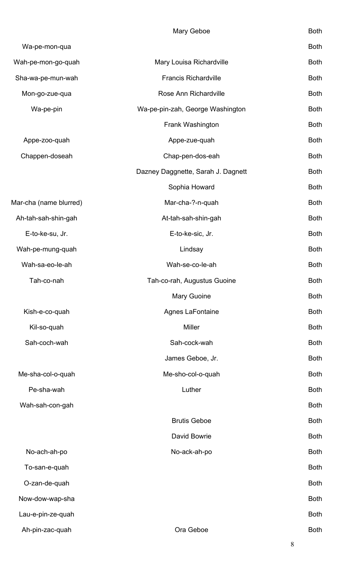|                        | Mary Geboe                         | <b>Both</b> |
|------------------------|------------------------------------|-------------|
| Wa-pe-mon-qua          |                                    | <b>Both</b> |
| Wah-pe-mon-go-quah     | Mary Louisa Richardville           | <b>Both</b> |
| Sha-wa-pe-mun-wah      | <b>Francis Richardville</b>        | <b>Both</b> |
| Mon-go-zue-qua         | Rose Ann Richardville              | <b>Both</b> |
| Wa-pe-pin              | Wa-pe-pin-zah, George Washington   | <b>Both</b> |
|                        | Frank Washington                   | <b>Both</b> |
| Appe-zoo-quah          | Appe-zue-quah                      | <b>Both</b> |
| Chappen-doseah         | Chap-pen-dos-eah                   | <b>Both</b> |
|                        | Dazney Daggnette, Sarah J. Dagnett | <b>Both</b> |
|                        | Sophia Howard                      | <b>Both</b> |
| Mar-cha (name blurred) | Mar-cha-?-n-quah                   | <b>Both</b> |
| Ah-tah-sah-shin-gah    | At-tah-sah-shin-gah                | <b>Both</b> |
| E-to-ke-su, Jr.        | E-to-ke-sic, Jr.                   | <b>Both</b> |
| Wah-pe-mung-quah       | Lindsay                            | <b>Both</b> |
| Wah-sa-eo-le-ah        | Wah-se-co-le-ah                    | <b>Both</b> |
| Tah-co-nah             | Tah-co-rah, Augustus Guoine        | <b>Both</b> |
|                        | Mary Guoine                        | <b>Both</b> |
| Kish-e-co-quah         | Agnes LaFontaine                   | <b>Both</b> |
| Kil-so-quah            | <b>Miller</b>                      | <b>Both</b> |
| Sah-coch-wah           | Sah-cock-wah                       | <b>Both</b> |
|                        | James Geboe, Jr.                   | <b>Both</b> |
| Me-sha-col-o-quah      | Me-sho-col-o-quah                  | <b>Both</b> |
| Pe-sha-wah             | Luther                             | <b>Both</b> |
| Wah-sah-con-gah        |                                    | <b>Both</b> |
|                        | <b>Brutis Geboe</b>                | <b>Both</b> |
|                        | David Bowrie                       | <b>Both</b> |
| No-ach-ah-po           | No-ack-ah-po                       | <b>Both</b> |
| To-san-e-quah          |                                    | <b>Both</b> |
| O-zan-de-quah          |                                    | <b>Both</b> |
| Now-dow-wap-sha        |                                    | <b>Both</b> |
| Lau-e-pin-ze-quah      |                                    | <b>Both</b> |
| Ah-pin-zac-quah        | Ora Geboe                          | <b>Both</b> |
|                        |                                    |             |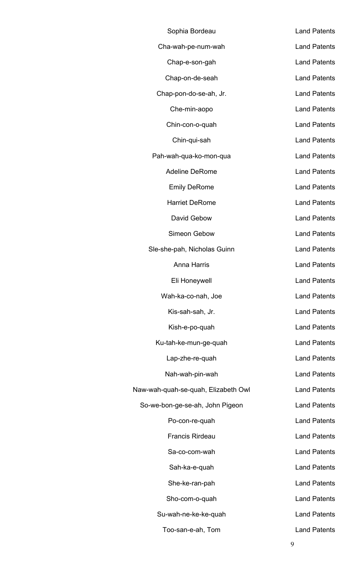| Sophia Bordeau                      | <b>Land Patents</b> |
|-------------------------------------|---------------------|
| Cha-wah-pe-num-wah                  | <b>Land Patents</b> |
| Chap-e-son-gah                      | <b>Land Patents</b> |
| Chap-on-de-seah                     | <b>Land Patents</b> |
| Chap-pon-do-se-ah, Jr.              | <b>Land Patents</b> |
| Che-min-aopo                        | <b>Land Patents</b> |
| Chin-con-o-quah                     | <b>Land Patents</b> |
| Chin-qui-sah                        | <b>Land Patents</b> |
| Pah-wah-qua-ko-mon-qua              | <b>Land Patents</b> |
| <b>Adeline DeRome</b>               | <b>Land Patents</b> |
| <b>Emily DeRome</b>                 | <b>Land Patents</b> |
| <b>Harriet DeRome</b>               | <b>Land Patents</b> |
| David Gebow                         | <b>Land Patents</b> |
| Simeon Gebow                        | <b>Land Patents</b> |
| Sle-she-pah, Nicholas Guinn         | <b>Land Patents</b> |
| <b>Anna Harris</b>                  | <b>Land Patents</b> |
| Eli Honeywell                       | <b>Land Patents</b> |
| Wah-ka-co-nah, Joe                  | <b>Land Patents</b> |
| Kis-sah-sah, Jr.                    | <b>Land Patents</b> |
| Kish-e-po-quah                      | <b>Land Patents</b> |
| Ku-tah-ke-mun-ge-quah               | <b>Land Patents</b> |
| Lap-zhe-re-quah                     | <b>Land Patents</b> |
| Nah-wah-pin-wah                     | <b>Land Patents</b> |
| Naw-wah-quah-se-quah, Elizabeth Owl | <b>Land Patents</b> |
| So-we-bon-ge-se-ah, John Pigeon     | <b>Land Patents</b> |
| Po-con-re-quah                      | <b>Land Patents</b> |
| <b>Francis Rirdeau</b>              | <b>Land Patents</b> |
| Sa-co-com-wah                       | <b>Land Patents</b> |
| Sah-ka-e-quah                       | <b>Land Patents</b> |
| She-ke-ran-pah                      | <b>Land Patents</b> |
| Sho-com-o-quah                      | <b>Land Patents</b> |
| Su-wah-ne-ke-ke-quah                | <b>Land Patents</b> |
| Too-san-e-ah, Tom                   | <b>Land Patents</b> |